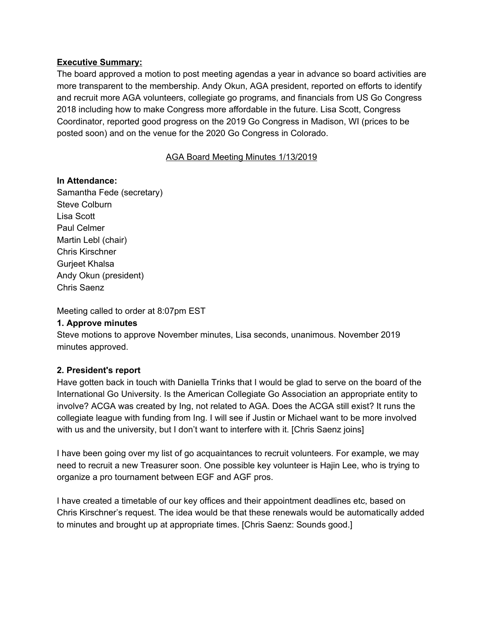### **Executive Summary:**

The board approved a motion to post meeting agendas a year in advance so board activities are more transparent to the membership. Andy Okun, AGA president, reported on efforts to identify and recruit more AGA volunteers, collegiate go programs, and financials from US Go Congress 2018 including how to make Congress more affordable in the future. Lisa Scott, Congress Coordinator, reported good progress on the 2019 Go Congress in Madison, WI (prices to be posted soon) and on the venue for the 2020 Go Congress in Colorado.

### AGA Board Meeting Minutes 1/13/2019

# **In Attendance:**

Samantha Fede (secretary) Steve Colburn Lisa Scott Paul Celmer Martin Lebl (chair) Chris Kirschner Gurjeet Khalsa Andy Okun (president) Chris Saenz

Meeting called to order at 8:07pm EST

#### **1. Approve minutes**

Steve motions to approve November minutes, Lisa seconds, unanimous. November 2019 minutes approved.

# **2. President's report**

Have gotten back in touch with Daniella Trinks that I would be glad to serve on the board of the International Go University. Is the American Collegiate Go Association an appropriate entity to involve? ACGA was created by Ing, not related to AGA. Does the ACGA still exist? It runs the collegiate league with funding from Ing. I will see if Justin or Michael want to be more involved with us and the university, but I don't want to interfere with it. [Chris Saenz joins]

I have been going over my list of go acquaintances to recruit volunteers. For example, we may need to recruit a new Treasurer soon. One possible key volunteer is Hajin Lee, who is trying to organize a pro tournament between EGF and AGF pros.

I have created a timetable of our key offices and their appointment deadlines etc, based on Chris Kirschner's request. The idea would be that these renewals would be automatically added to minutes and brought up at appropriate times. [Chris Saenz: Sounds good.]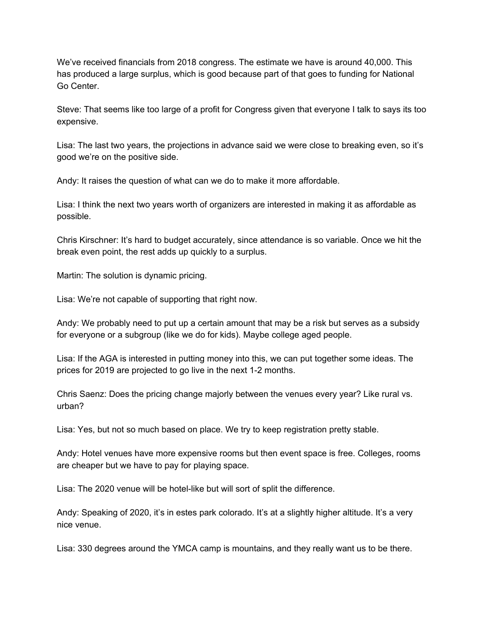We've received financials from 2018 congress. The estimate we have is around 40,000. This has produced a large surplus, which is good because part of that goes to funding for National Go Center.

Steve: That seems like too large of a profit for Congress given that everyone I talk to says its too expensive.

Lisa: The last two years, the projections in advance said we were close to breaking even, so it's good we're on the positive side.

Andy: It raises the question of what can we do to make it more affordable.

Lisa: I think the next two years worth of organizers are interested in making it as affordable as possible.

Chris Kirschner: It's hard to budget accurately, since attendance is so variable. Once we hit the break even point, the rest adds up quickly to a surplus.

Martin: The solution is dynamic pricing.

Lisa: We're not capable of supporting that right now.

Andy: We probably need to put up a certain amount that may be a risk but serves as a subsidy for everyone or a subgroup (like we do for kids). Maybe college aged people.

Lisa: If the AGA is interested in putting money into this, we can put together some ideas. The prices for 2019 are projected to go live in the next 1-2 months.

Chris Saenz: Does the pricing change majorly between the venues every year? Like rural vs. urban?

Lisa: Yes, but not so much based on place. We try to keep registration pretty stable.

Andy: Hotel venues have more expensive rooms but then event space is free. Colleges, rooms are cheaper but we have to pay for playing space.

Lisa: The 2020 venue will be hotel-like but will sort of split the difference.

Andy: Speaking of 2020, it's in estes park colorado. It's at a slightly higher altitude. It's a very nice venue.

Lisa: 330 degrees around the YMCA camp is mountains, and they really want us to be there.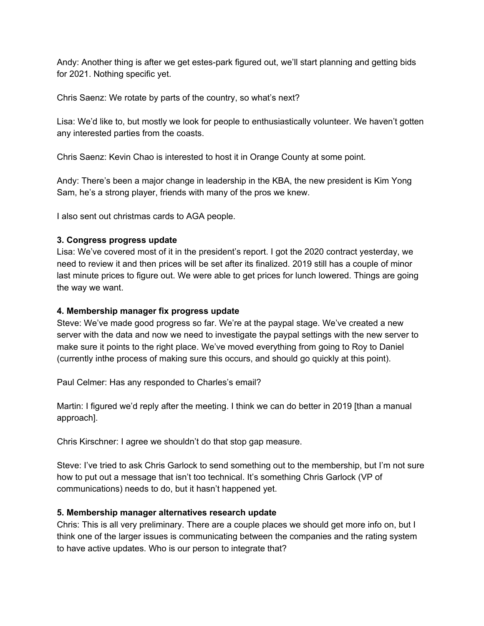Andy: Another thing is after we get estes-park figured out, we'll start planning and getting bids for 2021. Nothing specific yet.

Chris Saenz: We rotate by parts of the country, so what's next?

Lisa: We'd like to, but mostly we look for people to enthusiastically volunteer. We haven't gotten any interested parties from the coasts.

Chris Saenz: Kevin Chao is interested to host it in Orange County at some point.

Andy: There's been a major change in leadership in the KBA, the new president is Kim Yong Sam, he's a strong player, friends with many of the pros we knew.

I also sent out christmas cards to AGA people.

# **3. Congress progress update**

Lisa: We've covered most of it in the president's report. I got the 2020 contract yesterday, we need to review it and then prices will be set after its finalized. 2019 still has a couple of minor last minute prices to figure out. We were able to get prices for lunch lowered. Things are going the way we want.

### **4. Membership manager fix progress update**

Steve: We've made good progress so far. We're at the paypal stage. We've created a new server with the data and now we need to investigate the paypal settings with the new server to make sure it points to the right place. We've moved everything from going to Roy to Daniel (currently inthe process of making sure this occurs, and should go quickly at this point).

Paul Celmer: Has any responded to Charles's email?

Martin: I figured we'd reply after the meeting. I think we can do better in 2019 [than a manual approach].

Chris Kirschner: I agree we shouldn't do that stop gap measure.

Steve: I've tried to ask Chris Garlock to send something out to the membership, but I'm not sure how to put out a message that isn't too technical. It's something Chris Garlock (VP of communications) needs to do, but it hasn't happened yet.

# **5. Membership manager alternatives research update**

Chris: This is all very preliminary. There are a couple places we should get more info on, but I think one of the larger issues is communicating between the companies and the rating system to have active updates. Who is our person to integrate that?